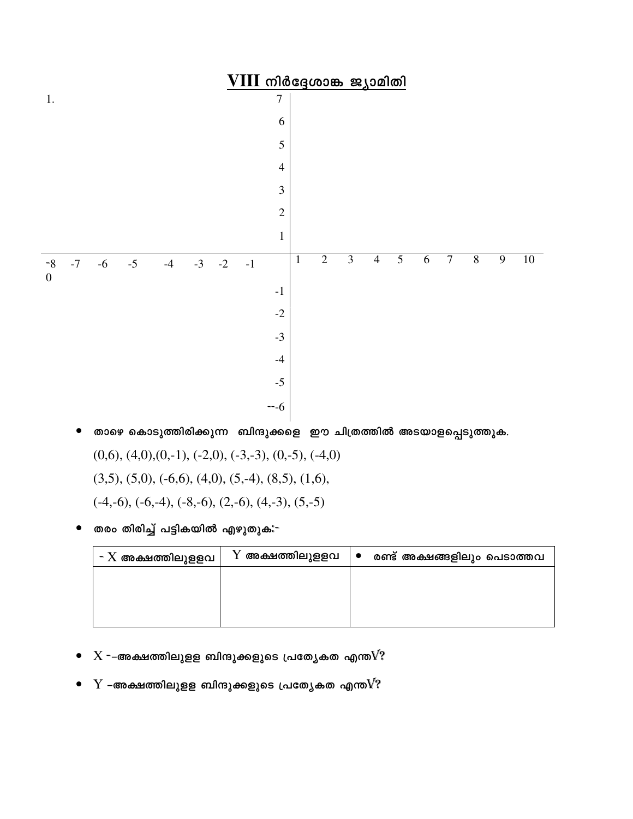

- താഴെ കൊടുത്തിരിക്കുന്ന ബിന്ദുക്കളെ ഈ ചിത്രത്തിൽ അടയാളപ്പെടുത്തുക.  $\bullet$  $(0,6)$ ,  $(4,0)$ ,  $(0,-1)$ ,  $(-2,0)$ ,  $(-3,-3)$ ,  $(0,-5)$ ,  $(-4,0)$  $(3,5)$ ,  $(5,0)$ ,  $(-6,6)$ ,  $(4,0)$ ,  $(5,-4)$ ,  $(8,5)$ ,  $(1,6)$ ,  $(-4,-6)$ ,  $(-6,-4)$ ,  $(-8,-6)$ ,  $(2,-6)$ ,  $(4,-3)$ ,  $(5,-5)$
- തരം തിരിച്ച് പട്ടികയിൽ എഴുതുക:-

| $\texttt{-} \text{X}$ അക്ഷത്തിലുളളവ | ${\rm Y}$ അക്ഷത്തിലുളളവ | $\overline{\phantom{a}}$ | രണ്ട് അക്ഷങ്ങളിലും പെടാത്തവ |
|-------------------------------------|-------------------------|--------------------------|-----------------------------|
|                                     |                         |                          |                             |
|                                     |                         |                          |                             |
|                                     |                         |                          |                             |

- $\bullet$   $X$  --അക്ഷത്തിലുളള ബിന്ദുക്കളുടെ പ്രത്യേകത എന്ത $V$ ?
- $\bullet$  Y –അക്ഷത്തിലുളള ബിന്ദുക്കളുടെ പ്രത്യേകത എന്ത $V$ ?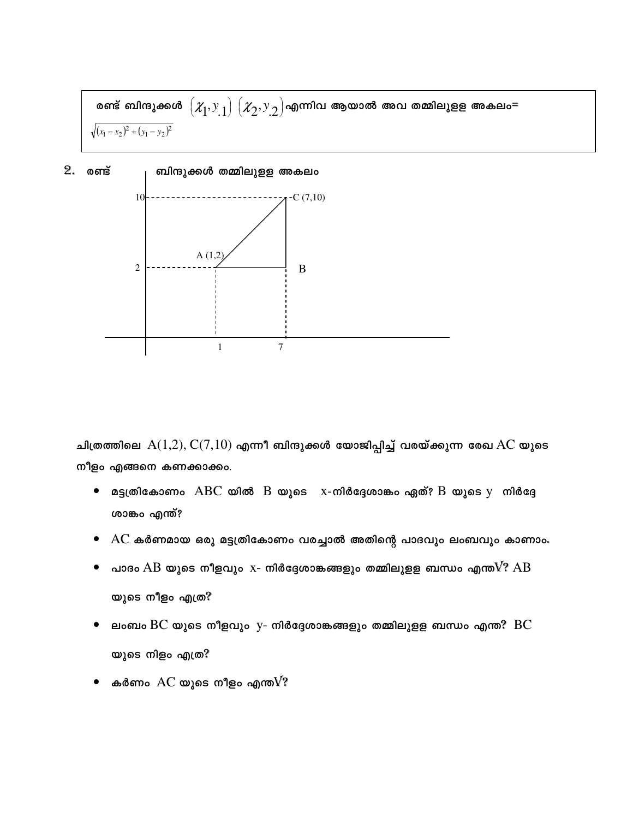രണ്ട് ബിന്ദുക്കൾ  $\left( \mathcal{X}_1, \text{y}_\text{.1} \right) \left( \mathcal{X}_2, \text{y}_\text{.2} \right)$ എന്നിവ ആയാൽ അവ തമ്മിലുളള അകലം=  $\sqrt{(x_1-x_2)^2+(y_1-y_2)^2}$ 

 $2.$  രണ്ട് ബിന്ദുക്കൾ തമ്മിലുളള അകലം



ചിത്രത്തിലെ  $A(1,2), C(7,10)$  എന്നീ ബിന്ദുക്കൾ യോജിപ്പിച്ച് വരയ്ക്കുന്ന രേഖ $AC$  യുടെ നീളം എങ്ങനെ കണക്കാക്കം.

- $\bullet$  മട്ടത്രികോണം  $\rm ABC$  യിൽ  $\rm B$  യുടെ  $\rm x$ -നിർദ്ദേശാങ്കം ഏത്?  $\rm B$  യുടെ  $\rm y$  നിർദ്ദേ ശാങ്കം എന്ത്?
- ${\rm AC}$  കർണമായ ഒരു മട്ടത്രികോണം വരച്ചാൽ അതിന്റെ പാദവും ലംബവും കാണാം.
- പാദം  $\rm AB$  യുടെ നീളവും  $\rm x$  നിർദ്ദേശാങ്കങ്ങളും തമ്മിലുളള ബന്ധം എന്ത $\rm V?$   $\rm AB$  $\bullet$ യുടെ നീളം എത്ര?
- ലംബം  $\operatorname{BC}$  യുടെ നീളവും  $\operatorname{y-}$  നിർദ്ദേശാങ്കങ്ങളും തമ്മിലുളള ബന്ധം എന്ത $\operatorname{P}$   $\operatorname{BC}$ യുടെ നിളം എത്ര?
- കർണം  ${\rm AC}$  യുടെ നീളം എന്ത ${\rm V}$ ?  $\bullet$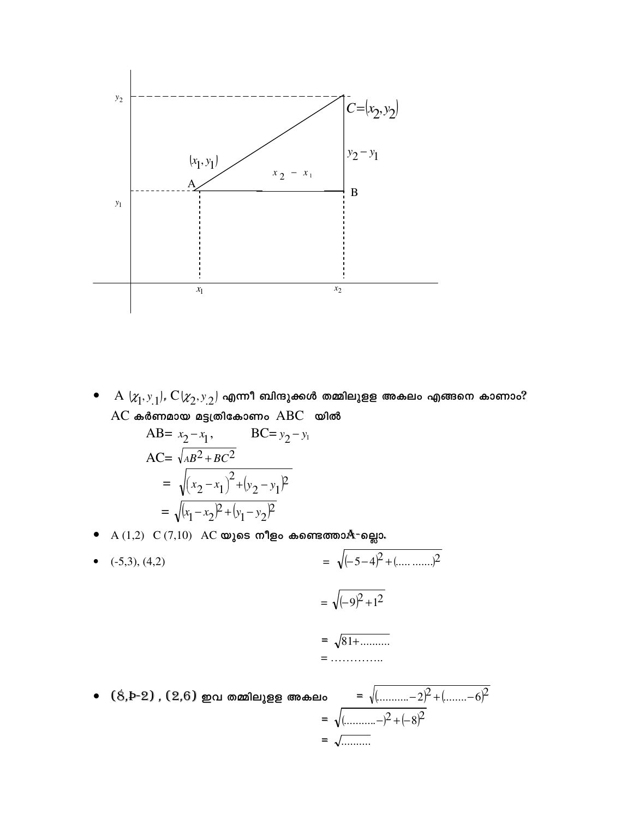

 $\mathrm{A}\ (\chi_1,\mathrm{y}_1)$ ,  $\mathrm{C}(\chi_2,\mathrm{y}_2)$  എന്നീ ബിന്ദുക്കൾ തമ്മിലുളള അകലം എങ്ങനെ കാണാം?  $\bullet$  $AC$  കർണമായ മട്ടത്രികോണം  $ABC$  യിൽ

$$
\begin{aligned}\n\text{AB=} \ x_2 - x_1, & \text{BC=} \ y_2 - y_1 \\
\text{AC=} \ \sqrt{AB^2 + BC^2} \\
&= \sqrt{(x_2 - x_1)^2 + (y_2 - y_1)^2} \\
&= \sqrt{(x_1 - x_2)^2 + (y_1 - y_2)^2}\n\end{aligned}
$$

●  $A(1,2)$   $C(7,10)$   $AC$  യുടെ നീളം കണ്ടെത്താ $A$ ¬ല്ലൊ.

• (-5,3), (4,2)  
\n
$$
= \sqrt{(-5-4)^2 + (\dots \dots \dots )^2}
$$
\n
$$
= \sqrt{(-9)^2 + 1^2}
$$
\n
$$
= \sqrt{81 + \dots}
$$
\n
$$
= \dots \dots \dots
$$
\n• (8 b-2) (2 6) mod multiple 8 600 = 80

ao =  $\sqrt{(\dots \dots \dots -2)^2 + (\dots \dots -6)^2}$ <br>=  $\sqrt{(\dots \dots -2)^2 + (-8)^2}$ റിഒഒ  $=\sqrt{\ldots}$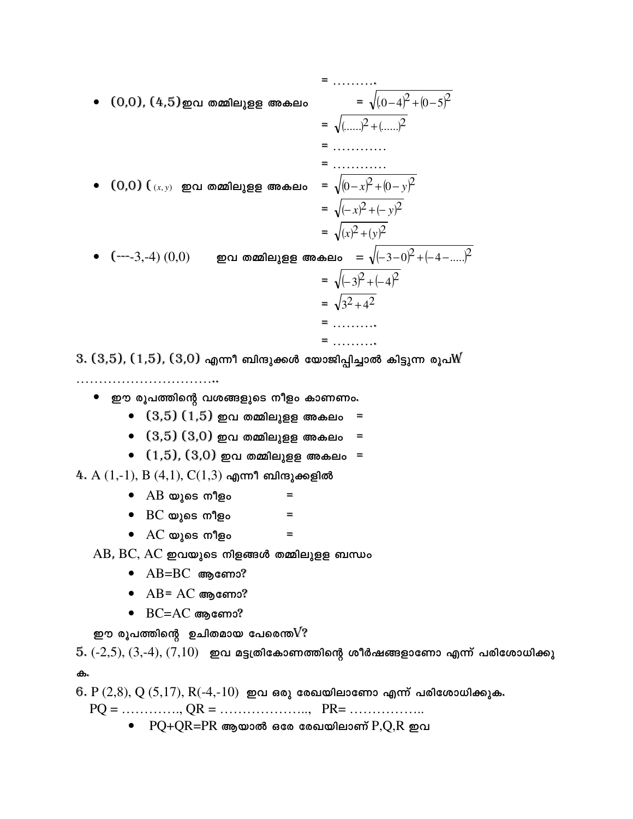• (0,0), (4,5) go on a  
\nmallyge g mod. = 
$$
\sqrt{(0-4)^2 + (0-5)^2}
$$
  
\n=  $\sqrt{(\ldots)^2 + (\ldots)^2}$   
\n=  $\ldots \ldots$   
\n• (0,0)  $(\ldots, \ldots)$  go on a  
\nmallyge g mod. =  $\sqrt{(0-x)^2 + (0-y)^2}$   
\n=  $\sqrt{(-x)^2 + (-y)^2}$   
\n=  $\sqrt{(x)^2 + (y)^2}$   
\n•  $(--3,-4) (0,0)$  go on a  
\nmallyge g  $\omega$  and  $\omega$  =  $\sqrt{(-3-0)^2 + (-4-....)^2}$   
\n=  $\sqrt{(-3)^2 + (-4)^2}$   
\n=  $\sqrt{3^2 + 4^2}$   
\n=  $\ldots \ldots$   
\n=  $\ldots \ldots$   
\n=  $\ldots \ldots$ 

 $3. (3,5)$ ,  $(1,5)$ ,  $(3,0)$  എന്നീ ബിന്ദുക്കൾ യോജിപ്പിച്ചാൽ കിട്ടുന്ന രൂപ $\cancel{\text{M}}$ 

- $\bullet$  ഈ രൂപത്തിന്റെ വശങ്ങളുടെ നീളം കാണണം.
	- $\bullet$   $(3,5)(1,5)$  ഇവ തമ്മിലുളള അകലം
	- $\bullet$   $(3,5)(3,0)$  ഇവ തമ്മിലുളള അകലം =
	- $(1,5), (3,0)$  ഇവ തമ്മിലുളള അകലം =

 $4. A(1,-1), B(4,1), C(1,3)$  എന്നീ ബിന്ദുക്കളിൽ

- $\bullet$   $AB$  യുടെ നീളം
- $\bullet$   $\,$   $\rm BC$  യുടെ നീളം  $\equiv$
- $\bullet$   $AC$  യുടെ നീളം  $\equiv$
- $AB$ ,  $BC$ ,  $AC$  ഇവയുടെ നിളങ്ങൾ തമ്മിലുളള ബന്ധം
	- $\bullet$  AB=BC ആണോ?
	- $\bullet$  AB= AC ആണോ?
	- $\bullet$  BC=AC ആണോ?

ഈ രൂപത്തിന്റെ ഉചിതമായ പേരെന്ത $V$ ?

 $5. (-2, 5), (3, -4), (7, 10)$  ഇവ മട്ടത്രികോണത്തിന്റെ ശീർഷങ്ങളാണോ എന്ന് പരിശോധിക്കു ക.

 $6. P(2,8), Q(5,17), R(-4,-10)$  ഇവ ഒരു രേഖയിലാണോ എന്ന് പരിശോധിക്കുക.

 $\equiv$ 

 $\bullet$  PQ+QR=PR ആയാൽ ഒരേ രേഖയിലാണ്  $P,Q,R$  ഇവ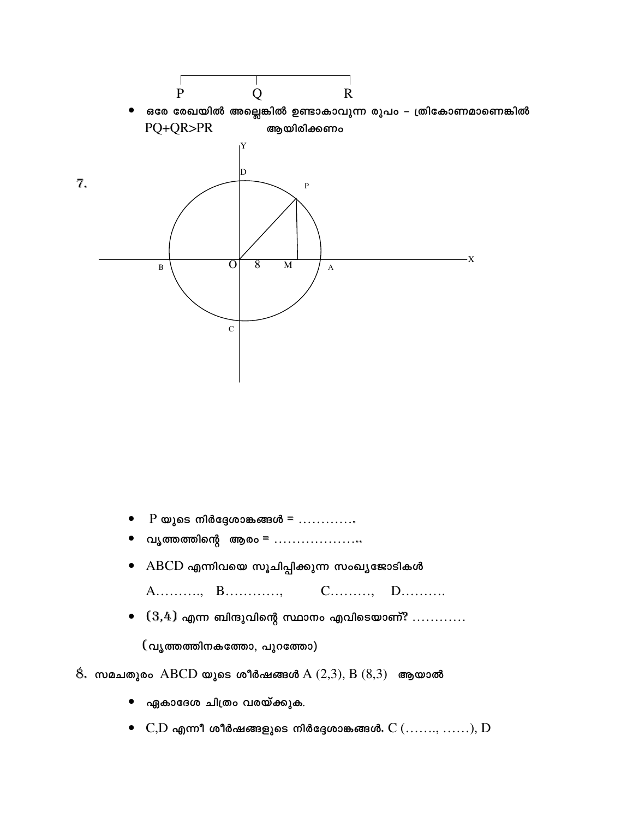

- P യുടെ നിർദ്ദേശാങ്കങ്ങൾ =  $\dots$
- വൃത്തത്തിന്റെ ആരം = .....................
- $\bullet$   $\,$   $\rm ABCD$  എന്നിവയെ സൂചിപ്പിക്കുന്ന സംഖ്യജോടികൾ

A..........., B..............  $C$ ..........,  $D$ ...........

 $\bullet$   $(3,4)$  എന്ന ബിന്ദുവിന്റെ സ്ഥാനം എവിടെയാണ്?  $\dots\dots\dots$ 

(വൃത്തത്തിനകത്തോ, പുറത്തോ)

## $\hat{8}$ . സമചതുരം ABCD യുടെ ശീർഷങ്ങൾ A  $(2,3)$ , B  $(8,3)$  ആയാൽ

- ഏകാദേശ ചിത്രം വരയ്ക്കുക.
-